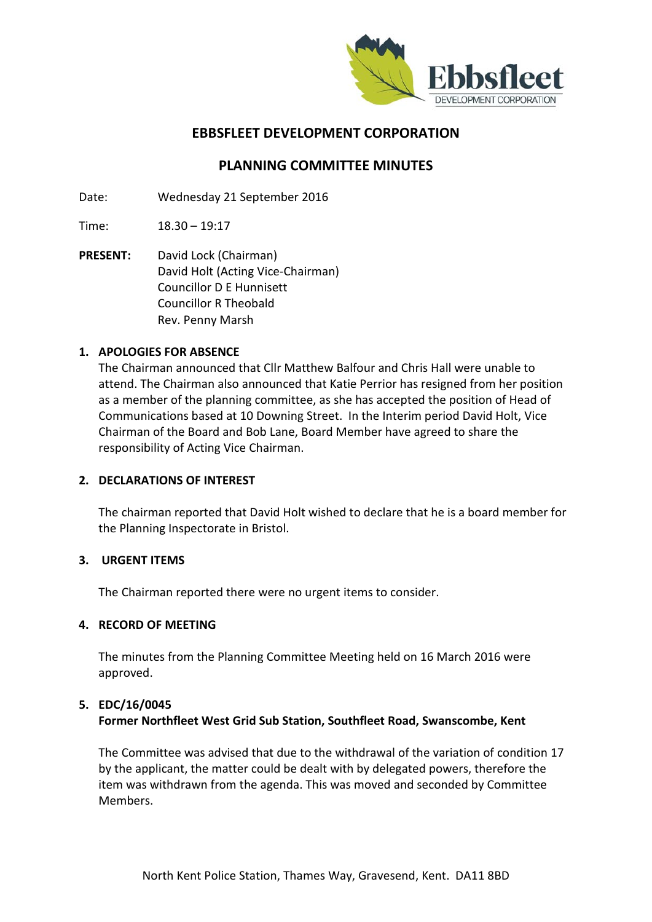

# **EBBSFLEET DEVELOPMENT CORPORATION**

# **PLANNING COMMITTEE MINUTES**

Date: Wednesday 21 September 2016

Time: 18.30 – 19:17

**PRESENT:** David Lock (Chairman) David Holt (Acting Vice-Chairman) Councillor D E Hunnisett Councillor R Theobald Rev. Penny Marsh

## **1. APOLOGIES FOR ABSENCE**

The Chairman announced that Cllr Matthew Balfour and Chris Hall were unable to attend. The Chairman also announced that Katie Perrior has resigned from her position as a member of the planning committee, as she has accepted the position of Head of Communications based at 10 Downing Street. In the Interim period David Holt, Vice Chairman of the Board and Bob Lane, Board Member have agreed to share the responsibility of Acting Vice Chairman.

#### **2. DECLARATIONS OF INTEREST**

The chairman reported that David Holt wished to declare that he is a board member for the Planning Inspectorate in Bristol.

#### **3. URGENT ITEMS**

The Chairman reported there were no urgent items to consider.

#### **4. RECORD OF MEETING**

The minutes from the Planning Committee Meeting held on 16 March 2016 were approved.

#### **5. EDC/16/0045**

## **Former Northfleet West Grid Sub Station, Southfleet Road, Swanscombe, Kent**

The Committee was advised that due to the withdrawal of the variation of condition 17 by the applicant, the matter could be dealt with by delegated powers, therefore the item was withdrawn from the agenda. This was moved and seconded by Committee Members.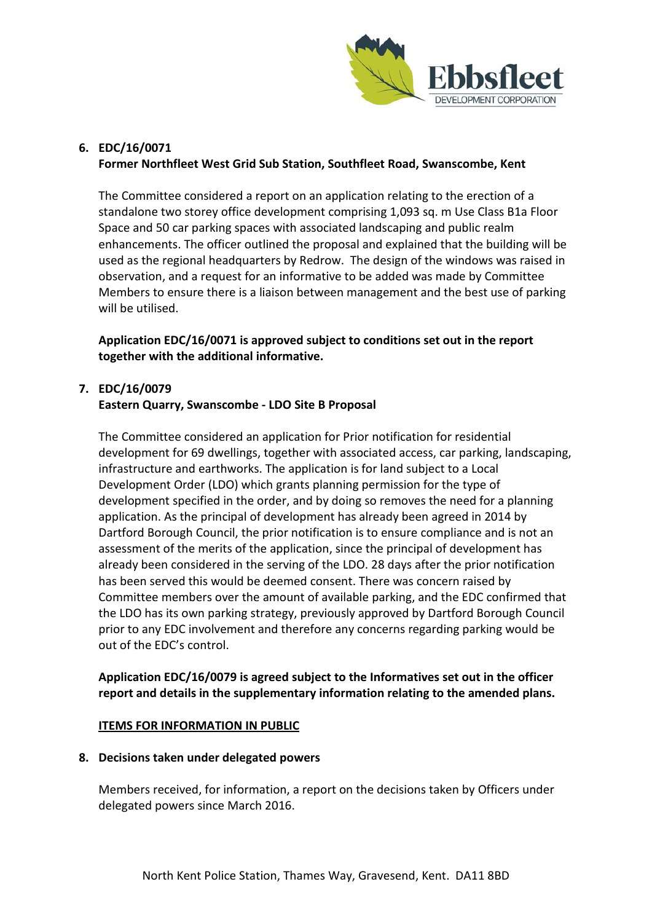

## **6. EDC/16/0071 Former Northfleet West Grid Sub Station, Southfleet Road, Swanscombe, Kent**

The Committee considered a report on an application relating to the erection of a standalone two storey office development comprising 1,093 sq. m Use Class B1a Floor Space and 50 car parking spaces with associated landscaping and public realm enhancements. The officer outlined the proposal and explained that the building will be used as the regional headquarters by Redrow. The design of the windows was raised in observation, and a request for an informative to be added was made by Committee Members to ensure there is a liaison between management and the best use of parking will be utilised.

**Application EDC/16/0071 is approved subject to conditions set out in the report together with the additional informative.** 

### **7. EDC/16/0079**

## **Eastern Quarry, Swanscombe - LDO Site B Proposal**

The Committee considered an application for Prior notification for residential development for 69 dwellings, together with associated access, car parking, landscaping, infrastructure and earthworks. The application is for land subject to a Local Development Order (LDO) which grants planning permission for the type of development specified in the order, and by doing so removes the need for a planning application. As the principal of development has already been agreed in 2014 by Dartford Borough Council, the prior notification is to ensure compliance and is not an assessment of the merits of the application, since the principal of development has already been considered in the serving of the LDO. 28 days after the prior notification has been served this would be deemed consent. There was concern raised by Committee members over the amount of available parking, and the EDC confirmed that the LDO has its own parking strategy, previously approved by Dartford Borough Council prior to any EDC involvement and therefore any concerns regarding parking would be out of the EDC's control.

## **Application EDC/16/0079 is agreed subject to the Informatives set out in the officer report and details in the supplementary information relating to the amended plans.**

## **ITEMS FOR INFORMATION IN PUBLIC**

#### **8. Decisions taken under delegated powers**

Members received, for information, a report on the decisions taken by Officers under delegated powers since March 2016.